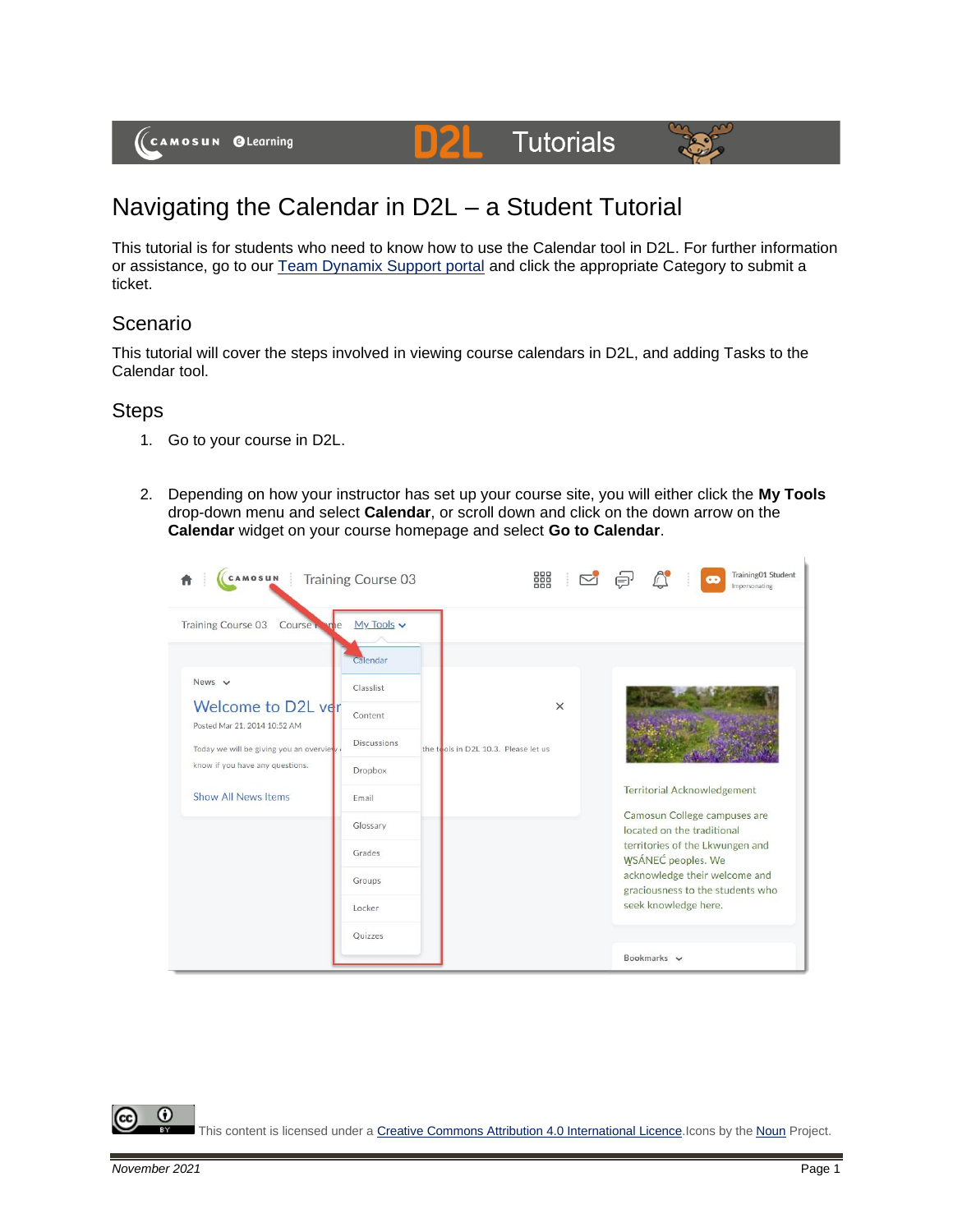# **Tutorials**



# Navigating the Calendar in D2L – a Student Tutorial

DZ

This tutorial is for students who need to know how to use the Calendar tool in D2L. For further information or assistance, go to our [Team Dynamix Support portal](https://camosun.teamdynamix.com/TDClient/67/Portal/Requests/ServiceCatalog?CategoryID=524) and click the appropriate Category to submit a ticket.

## Scenario

This tutorial will cover the steps involved in viewing course calendars in D2L, and adding Tasks to the Calendar tool.

### **Steps**

- 1. Go to your course in D2L.
- 2. Depending on how your instructor has set up your course site, you will either click the **My Tools** drop-down menu and select **Calendar**, or scroll down and click on the down arrow on the **Calendar** widget on your course homepage and select **Go to Calendar**.

| CAMOSUN Training Course 03                         |                    |                                      | 器        | œ                                                                 | Training01 Student<br>Impersonating |
|----------------------------------------------------|--------------------|--------------------------------------|----------|-------------------------------------------------------------------|-------------------------------------|
| <b>Training Course 03</b><br>Course <sub>1</sub>   | $My Tools$ $\sim$  |                                      |          |                                                                   |                                     |
|                                                    | Calendar           |                                      |          |                                                                   |                                     |
| News $\sim$                                        | Classlist          |                                      |          |                                                                   |                                     |
| Welcome to D2L ver<br>Posted Mar 21, 2014 10:52 AM | Content            |                                      | $\times$ |                                                                   |                                     |
| Today we will be giving you an overview            | <b>Discussions</b> | the tools in D2L 10.3. Please let us |          |                                                                   |                                     |
| know if you have any questions.                    | Dropbox            |                                      |          |                                                                   |                                     |
| <b>Show All News Items</b>                         | Email              |                                      |          | <b>Territorial Acknowledgement</b>                                |                                     |
|                                                    | Glossary           |                                      |          | Camosun College campuses are<br>located on the traditional        |                                     |
|                                                    | Grades             |                                      |          | territories of the Lkwungen and<br><b>WSÁNEC</b> peoples. We      |                                     |
|                                                    | Groups             |                                      |          | acknowledge their welcome and<br>graciousness to the students who |                                     |
|                                                    | Locker             |                                      |          | seek knowledge here.                                              |                                     |
|                                                    | Quizzes            |                                      |          |                                                                   |                                     |
|                                                    |                    |                                      |          | Bookmarks $\vee$                                                  |                                     |

This content is licensed under [a Creative Commons Attribution 4.0 International Licence.I](https://creativecommons.org/licenses/by/4.0/)cons by the [Noun](https://creativecommons.org/website-icons/) Project.

0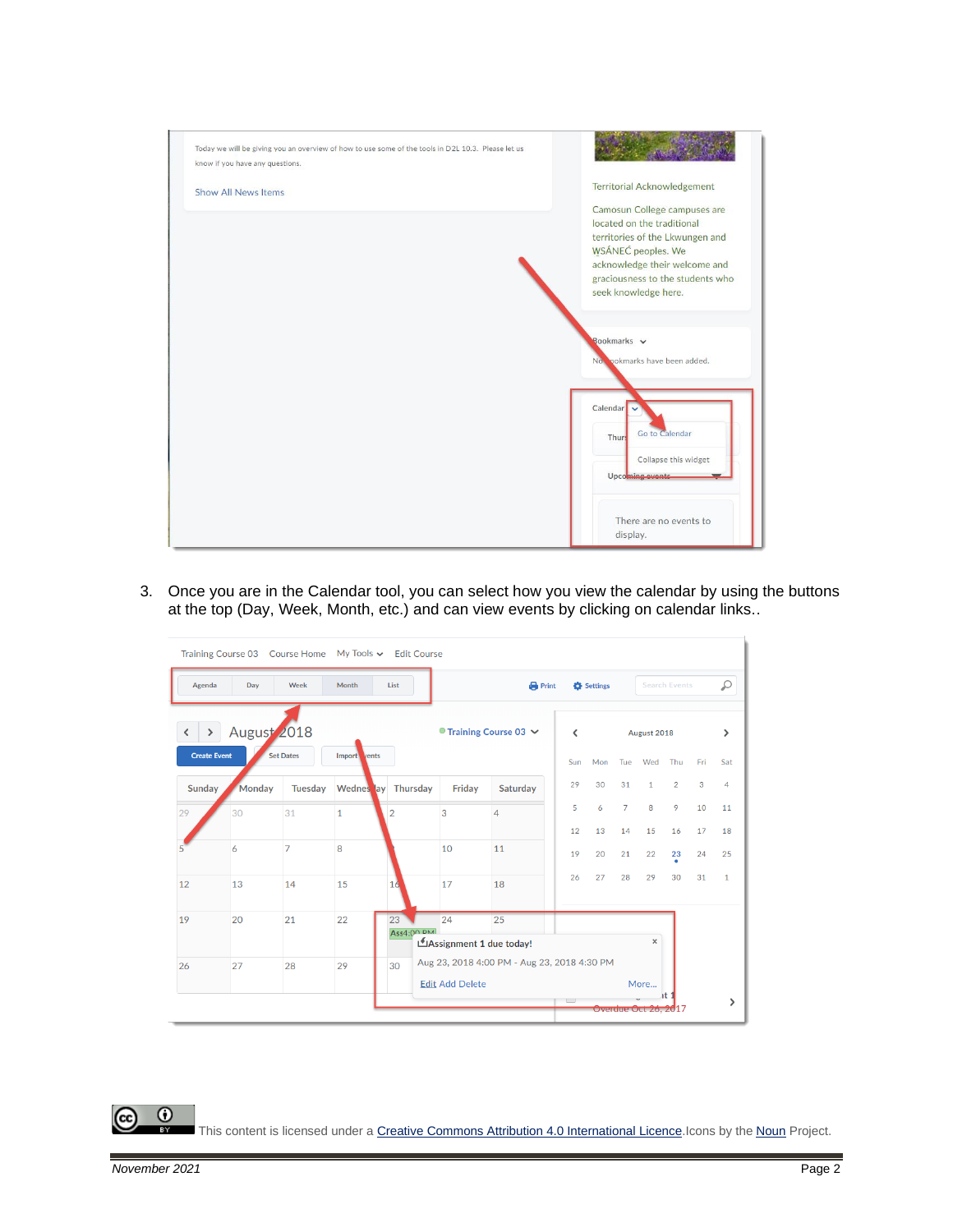

3. Once you are in the Calendar tool, you can select how you view the calendar by using the buttons at the top (Day, Week, Month, etc.) and can view events by clicking on calendar links..

|                                      | Training Course 03 Course Home My Tools v Edit Course |                  |                        |                         |                          |                                             |                                      |          |                |                                  |                      |          |              |
|--------------------------------------|-------------------------------------------------------|------------------|------------------------|-------------------------|--------------------------|---------------------------------------------|--------------------------------------|----------|----------------|----------------------------------|----------------------|----------|--------------|
| Agenda                               | Day                                                   | Week             | Month                  | List                    |                          | <b>Print</b>                                |                                      | Settings |                |                                  | <b>Search Events</b> |          | Ω            |
| $\rightarrow$<br><b>Create Event</b> | August 2018                                           | <b>Set Dates</b> | <b>Import</b><br>vents |                         |                          | $\bullet$ Training Course 03 $\sim$         | ≺<br>Sun                             | Mon      | Tue            | August 2018<br>Wed               | Thu                  | Fri      | ⋋<br>Sat     |
| Sunday                               | Monday                                                | Tuesday          | Wednes ay Thursday     |                         | Friday                   | Saturday                                    | 29                                   | 30       | 31             | $\mathbf{1}$                     | $\overline{2}$       | 3        | 4            |
| 29                                   | 30                                                    | 31               | $\mathbf{1}$           | $\overline{2}$          | 3                        | 4                                           | 5                                    | 6        | $\overline{7}$ | 8                                | 9                    | 10       | 11           |
|                                      | 6                                                     | $\overline{7}$   | 8                      |                         | 10                       | 11                                          | 12<br>19                             | 13<br>20 | 14<br>21       | 15<br>22                         | 16<br>23             | 17<br>24 | 18<br>25     |
| 12                                   | 13                                                    | 14               | 15                     | 16                      | 17                       | 18                                          | 26                                   | 27       | 28             | 29                               | 30                   | 31       | $\mathbf{1}$ |
| 19                                   | 20                                                    | 21               | 22                     | 23<br><b>Ass4:00 DM</b> | 24                       | 25                                          |                                      |          |                |                                  |                      |          |              |
|                                      |                                                       |                  |                        |                         | LAssignment 1 due today! | Aug 23, 2018 4:00 PM - Aug 23, 2018 4:30 PM |                                      |          |                | $\boldsymbol{\times}$            |                      |          |              |
| 26                                   | 27                                                    | 28               | 29                     | 30                      | <b>Edit Add Delete</b>   |                                             |                                      |          |                | More                             |                      |          |              |
|                                      |                                                       |                  |                        |                         |                          |                                             | $\begin{array}{ccc} & & \end{array}$ |          |                | <del>Overdue Oct 26, 20</del> 17 |                      |          | >            |

This content is licensed under [a Creative Commons Attribution 4.0 International Licence.I](https://creativecommons.org/licenses/by/4.0/)cons by the [Noun](https://creativecommons.org/website-icons/) Project.

 $\odot$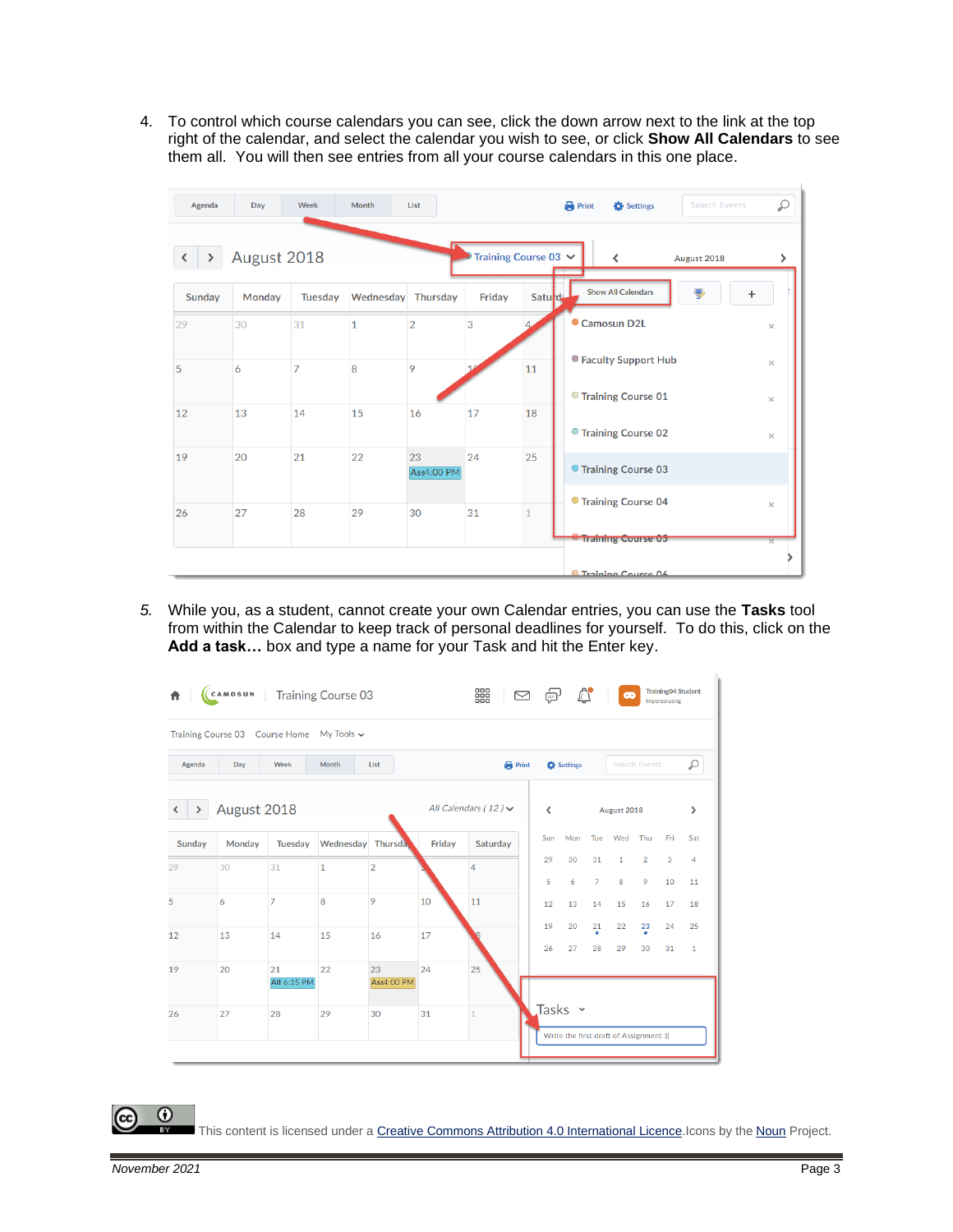4. To control which course calendars you can see, click the down arrow next to the link at the top right of the calendar, and select the calendar you wish to see, or click **Show All Calendars** to see them all. You will then see entries from all your course calendars in this one place.

| Agenda | Day           | Week           | Month        | List                    |                           |              | <b>Search Events</b><br>$\bigoplus$ Print<br>Settings | ₽        |
|--------|---------------|----------------|--------------|-------------------------|---------------------------|--------------|-------------------------------------------------------|----------|
|        | August 2018   |                |              |                         | Training Course 03 $\vee$ |              | ≺<br>August 2018                                      | ⋋        |
| Sunday | <b>Monday</b> | <b>Tuesday</b> | Wednesday    | <b>Thursday</b>         | Friday                    | Saturd       | <b>Show All Calendars</b><br>륗<br>$\ddot{}$           |          |
| 29     | 30            | 31             | $\mathbf{1}$ | $\overline{2}$          | 3                         |              | <b>Camosun D2L</b>                                    | $\times$ |
| 5      | 6             | $\overline{7}$ | 8            | 9                       |                           | 11           | ● Faculty Support Hub                                 | $\times$ |
| 12     | 13            | 14             | 15           | 16                      | 17                        | 18           | ● Training Course 01                                  | $\times$ |
|        |               |                |              |                         |                           |              | ● Training Course 02                                  | $\times$ |
| 19     | 20            | 21             | 22           | 23<br><b>Ass4:00 PM</b> | 24                        | 25           | ● Training Course 03                                  |          |
| 26     | 27            | 28             | 29           | 30                      | 31                        | $\mathbf{1}$ | ● Training Course 04                                  | $\times$ |
|        |               |                |              |                         |                           |              | <del><b>Training Course 05</b></del>                  |          |
|        |               |                |              |                         |                           |              | Training Course 06                                    |          |

*5.* While you, as a student, cannot create your own Calendar entries, you can use the **Tasks** tool from within the Calendar to keep track of personal deadlines for yourself. To do this, click on the **Add a task…** box and type a name for your Task and hit the Enter key.

| 青                  |             | (CAMOSUN Training Course 03               |                    |                         |        | 器                         | $\quad \, \boxtimes$ | €        | $\mathbb{C}^{\bullet}$ |                      | $\bullet$                             |                      | <b>Training04 Student</b><br>Impersonating |                    |
|--------------------|-------------|-------------------------------------------|--------------------|-------------------------|--------|---------------------------|----------------------|----------|------------------------|----------------------|---------------------------------------|----------------------|--------------------------------------------|--------------------|
|                    |             | Training Course 03 Course Home My Tools v |                    |                         |        |                           |                      |          |                        |                      |                                       |                      |                                            |                    |
| Agenda             | Day         | Week                                      | Month              | List                    |        | <b>Print</b>              |                      |          | Settings               |                      |                                       | <b>Search Events</b> |                                            | Q                  |
| $\rightarrow$<br>◟ | August 2018 |                                           |                    |                         |        | All Calendars (12) $\vee$ |                      | ∢        |                        |                      | August 2018                           |                      |                                            | $\mathcal{P}$      |
| Sunday             | Monday      | Tuesday                                   | Wednesday Thursday |                         | Friday | Saturday                  |                      | Sun      | Mon                    | Tue                  | Wed                                   | Thu                  | Fri                                        | Sat                |
| 29                 | 30          | 31                                        | $\mathbf{1}$       | $\overline{2}$          |        | 4                         |                      | 29<br>5  | 30<br>6                | 31<br>$\overline{7}$ | $\mathbf{1}$<br>8                     | $\overline{2}$<br>9  | 3<br>10                                    | 4<br>11            |
| 5                  | 6           | 7                                         | 8                  | 9                       | 10     | 11                        |                      | 12       | 13                     | 14                   | 15                                    | 16                   | 17                                         | 18                 |
| 12                 | 13          | 14                                        | 15                 | 16                      | 17     |                           |                      | 19<br>26 | 20<br>27               | $\frac{21}{9}$<br>28 | 22<br>29                              | $\frac{23}{9}$<br>30 | 24<br>31                                   | 25<br>$\mathbf{1}$ |
| 19                 | 20          | 21<br>All 6:15 PM                         | 22                 | 23<br><b>Ass4:00 PM</b> | 24     | 25                        |                      |          |                        |                      |                                       |                      |                                            |                    |
| 26                 | 27          | 28                                        | 29                 | 30                      | 31     | $\mathbf{1}$              |                      |          | Tasks ~                |                      | Write the first draft of Assignment 1 |                      |                                            |                    |
|                    |             |                                           |                    |                         |        |                           |                      |          |                        |                      |                                       |                      |                                            |                    |

This content is licensed under [a Creative Commons Attribution 4.0 International Licence.I](https://creativecommons.org/licenses/by/4.0/)cons by the [Noun](https://creativecommons.org/website-icons/) Project.

0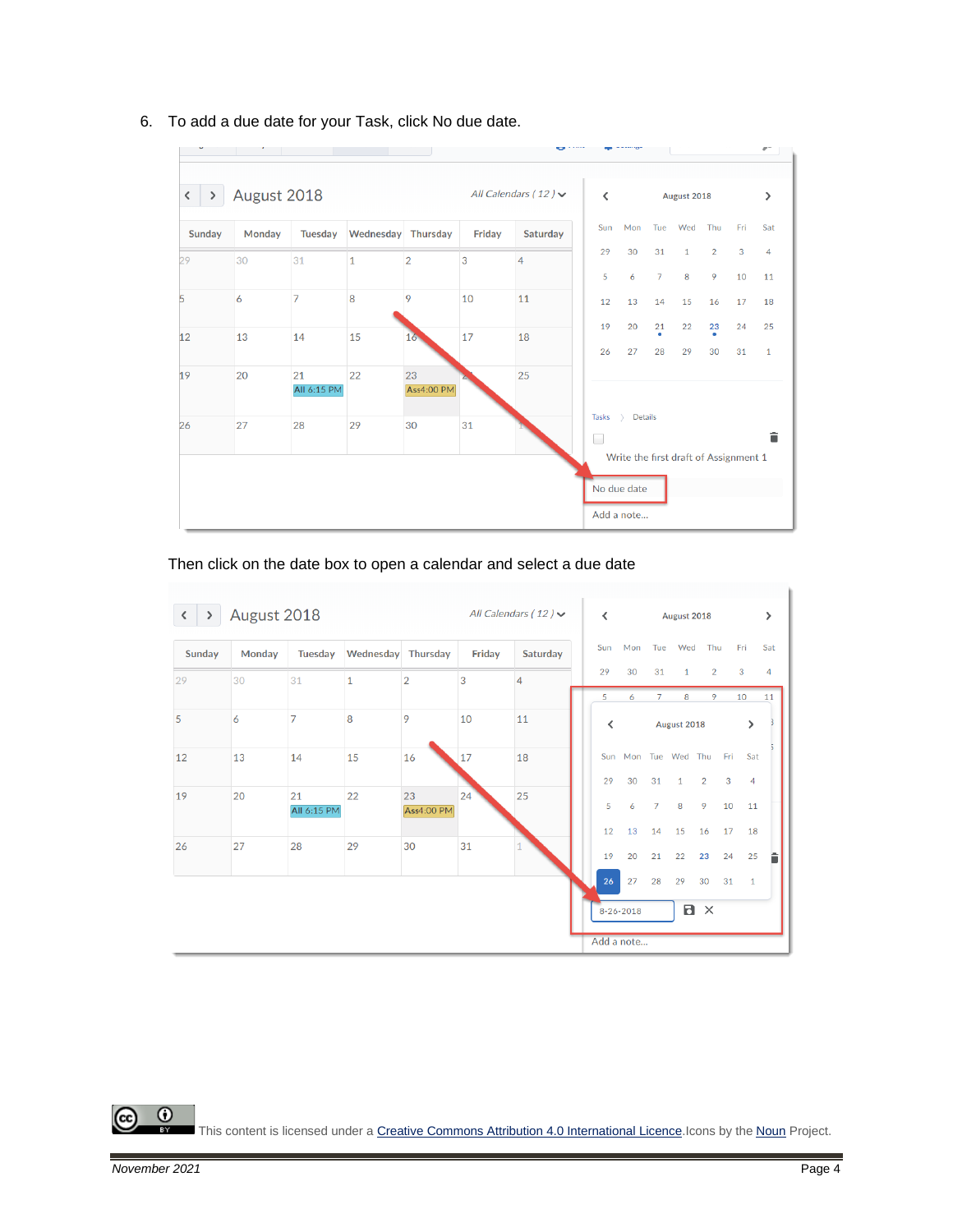

6. To add a due date for your Task, click No due date.

Then click on the date box to open a calendar and select a due date

| $\rightarrow$ | August 2018 |                   |                    |                         |        | All Calendars (12) $\vee$ | $\overline{\phantom{a}}$ |                     |                      | August 2018       |                     |                      |                      | $\rightarrow$ |
|---------------|-------------|-------------------|--------------------|-------------------------|--------|---------------------------|--------------------------|---------------------|----------------------|-------------------|---------------------|----------------------|----------------------|---------------|
| Sunday        | Monday      | Tuesday           | Wednesday Thursday |                         | Friday | Saturday                  | Sun                      | Mon                 | Tue                  | Wed               | Thu                 |                      | Fri                  | Sat           |
| 29            | 30          | 31                | $\mathbf{1}$       | $\overline{2}$          | 3      | $\overline{4}$            | 29<br>5                  | 30<br>6             | 31<br>7              | $\mathbf{1}$<br>8 | $\overline{2}$<br>9 |                      | 3<br>10              | 4<br>11       |
| 5             | 6           | $\overline{7}$    | 8                  | 9                       | 10     | 11                        | ≺                        |                     |                      | August 2018       |                     |                      | $\mathcal{P}$        |               |
| 12            | 13          | 14                | 15                 | 16                      | 17     | 18                        |                          | Sun Mon Tue Wed Thu |                      |                   |                     | Fri                  | Sat                  |               |
| 19            | 20          | 21<br>All 6:15 PM | 22                 | 23<br><b>Ass4:00 PM</b> | 24     | 25                        | 29<br>5                  | 30<br>6             | 31<br>$\overline{7}$ | $\mathbf{1}$<br>8 | $\overline{2}$<br>9 | $\overline{3}$<br>10 | $\overline{4}$<br>11 |               |
| 26            | 27          | 28                | 29                 | 30                      | 31     |                           | 12                       | 13                  | 14                   | 15                | 16                  | 17                   | 18                   |               |
|               |             |                   |                    |                         |        |                           | 19<br>26                 | 20<br>27            | 21<br>28             | 22<br>29          | 23<br>30            | 24<br>31             | 25<br>$\mathbf{1}$   |               |
|               |             |                   |                    |                         |        |                           |                          | 8-26-2018           |                      | Ð                 | $\times$            |                      |                      |               |
|               |             |                   |                    |                         |        |                           |                          | Add a note          |                      |                   |                     |                      |                      |               |